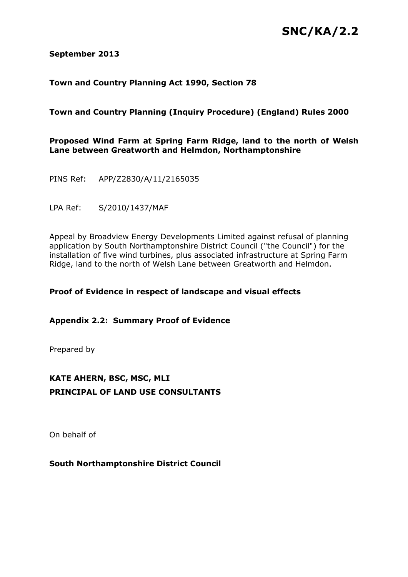# **SNC/KA/2.2**

#### **September 2013**

## **Town and Country Planning Act 1990, Section 78**

## **Town and Country Planning (Inquiry Procedure) (England) Rules 2000**

#### **Proposed Wind Farm at Spring Farm Ridge, land to the north of Welsh Lane between Greatworth and Helmdon, Northamptonshire**

PINS Ref: APP/Z2830/A/11/2165035

LPA Ref: S/2010/1437/MAF

Appeal by Broadview Energy Developments Limited against refusal of planning application by South Northamptonshire District Council ("the Council") for the installation of five wind turbines, plus associated infrastructure at Spring Farm Ridge, land to the north of Welsh Lane between Greatworth and Helmdon.

## **Proof of Evidence in respect of landscape and visual effects**

**Appendix 2.2: Summary Proof of Evidence**

Prepared by

## **KATE AHERN, BSC, MSC, MLI PRINCIPAL OF LAND USE CONSULTANTS**

On behalf of

## **South Northamptonshire District Council**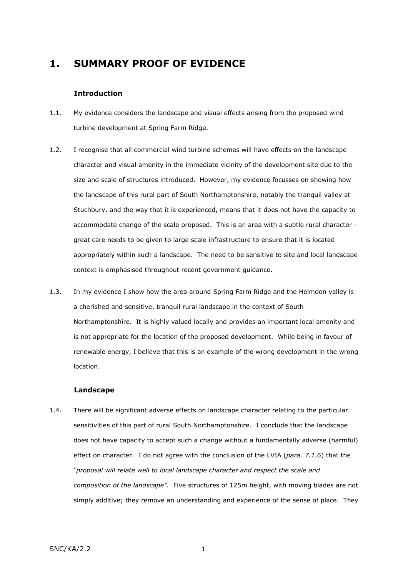## **1. SUMMARY PROOF OF EVIDENCE**

#### **Introduction**

- 1.1. My evidence considers the landscape and visual effects arising from the proposed wind turbine development at Spring Farm Ridge.
- 1.2. I recognise that all commercial wind turbine schemes will have effects on the landscape character and visual amenity in the immediate vicinity of the development site due to the size and scale of structures introduced. However, my evidence focusses on showing how the landscape of this rural part of South Northamptonshire, notably the tranquil valley at Stuchbury, and the way that it is experienced, means that it does not have the capacity to accommodate change of the scale proposed. This is an area with a subtle rural character great care needs to be given to large scale infrastructure to ensure that it is located appropriately within such a landscape. The need to be sensitive to site and local landscape context is emphasised throughout recent government guidance.
- 1.3. In my evidence I show how the area around Spring Farm Ridge and the Helmdon valley is a cherished and sensitive, tranquil rural landscape in the context of South Northamptonshire. It is highly valued locally and provides an important local amenity and is not appropriate for the location of the proposed development. While being in favour of renewable energy, I believe that this is an example of the wrong development in the wrong location.

#### **Landscape**

1.4. There will be significant adverse effects on landscape character relating to the particular sensitivities of this part of rural South Northamptonshire. I conclude that the landscape does not have capacity to accept such a change without a fundamentally adverse (harmful) effect on character. I do not agree with the conclusion of the LVIA (*para. 7.1.6*) that the *"proposal will relate well to local landscape character and respect the scale and composition of the landscape".* Five structures of 125m height, with moving blades are not simply additive; they remove an understanding and experience of the sense of place. They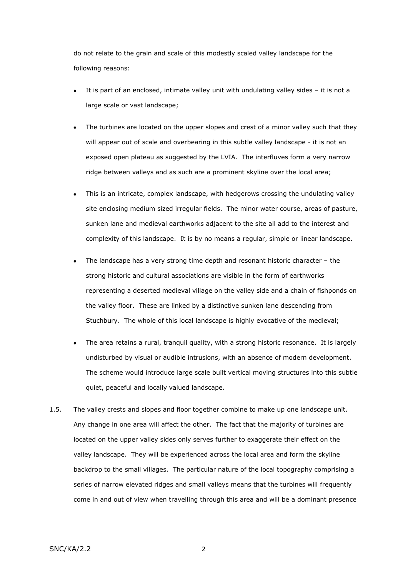do not relate to the grain and scale of this modestly scaled valley landscape for the following reasons:

- It is part of an enclosed, intimate valley unit with undulating valley sides it is not a large scale or vast landscape;
- The turbines are located on the upper slopes and crest of a minor valley such that they  $\bullet$ will appear out of scale and overbearing in this subtle valley landscape - it is not an exposed open plateau as suggested by the LVIA. The interfluves form a very narrow ridge between valleys and as such are a prominent skyline over the local area;
- This is an intricate, complex landscape, with hedgerows crossing the undulating valley site enclosing medium sized irregular fields. The minor water course, areas of pasture, sunken lane and medieval earthworks adjacent to the site all add to the interest and complexity of this landscape. It is by no means a regular, simple or linear landscape.
- The landscape has a very strong time depth and resonant historic character the strong historic and cultural associations are visible in the form of earthworks representing a deserted medieval village on the valley side and a chain of fishponds on the valley floor. These are linked by a distinctive sunken lane descending from Stuchbury. The whole of this local landscape is highly evocative of the medieval;
- The area retains a rural, tranquil quality, with a strong historic resonance. It is largely  $\bullet$ undisturbed by visual or audible intrusions, with an absence of modern development. The scheme would introduce large scale built vertical moving structures into this subtle quiet, peaceful and locally valued landscape.
- 1.5. The valley crests and slopes and floor together combine to make up one landscape unit. Any change in one area will affect the other. The fact that the majority of turbines are located on the upper valley sides only serves further to exaggerate their effect on the valley landscape. They will be experienced across the local area and form the skyline backdrop to the small villages. The particular nature of the local topography comprising a series of narrow elevated ridges and small valleys means that the turbines will frequently come in and out of view when travelling through this area and will be a dominant presence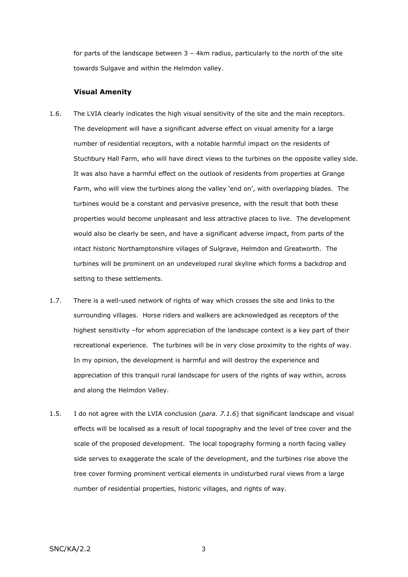for parts of the landscape between  $3 - 4$ km radius, particularly to the north of the site towards Sulgave and within the Helmdon valley.

#### **Visual Amenity**

- 1.6. The LVIA clearly indicates the high visual sensitivity of the site and the main receptors. The development will have a significant adverse effect on visual amenity for a large number of residential receptors, with a notable harmful impact on the residents of Stuchbury Hall Farm, who will have direct views to the turbines on the opposite valley side. It was also have a harmful effect on the outlook of residents from properties at Grange Farm, who will view the turbines along the valley 'end on', with overlapping blades. The turbines would be a constant and pervasive presence, with the result that both these properties would become unpleasant and less attractive places to live. The development would also be clearly be seen, and have a significant adverse impact, from parts of the intact historic Northamptonshire villages of Sulgrave, Helmdon and Greatworth. The turbines will be prominent on an undeveloped rural skyline which forms a backdrop and setting to these settlements.
- 1.7. There is a well-used network of rights of way which crosses the site and links to the surrounding villages. Horse riders and walkers are acknowledged as receptors of the highest sensitivity –for whom appreciation of the landscape context is a key part of their recreational experience. The turbines will be in very close proximity to the rights of way. In my opinion, the development is harmful and will destroy the experience and appreciation of this tranquil rural landscape for users of the rights of way within, across and along the Helmdon Valley.
- 1.5. I do not agree with the LVIA conclusion (*para. 7.1.6*) that significant landscape and visual effects will be localised as a result of local topography and the level of tree cover and the scale of the proposed development. The local topography forming a north facing valley side serves to exaggerate the scale of the development, and the turbines rise above the tree cover forming prominent vertical elements in undisturbed rural views from a large number of residential properties, historic villages, and rights of way.